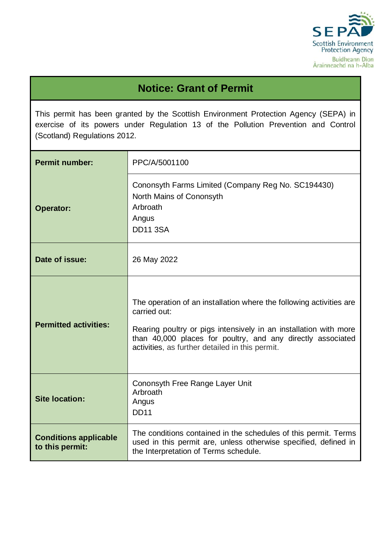

# **Notice: Grant of Permit**

This permit has been granted by the Scottish Environment Protection Agency (SEPA) in exercise of its powers under Regulation 13 of the Pollution Prevention and Control (Scotland) Regulations 2012.

| <b>Permit number:</b>                                                                        | PPC/A/5001100                                                                                                                                                                                                                                                             |  |  |
|----------------------------------------------------------------------------------------------|---------------------------------------------------------------------------------------------------------------------------------------------------------------------------------------------------------------------------------------------------------------------------|--|--|
| <b>Operator:</b>                                                                             | Cononsyth Farms Limited (Company Reg No. SC194430)<br>North Mains of Cononsyth<br>Arbroath<br>Angus<br><b>DD11 3SA</b>                                                                                                                                                    |  |  |
| Date of issue:                                                                               | 26 May 2022                                                                                                                                                                                                                                                               |  |  |
| <b>Permitted activities:</b>                                                                 | The operation of an installation where the following activities are<br>carried out:<br>Rearing poultry or pigs intensively in an installation with more<br>than 40,000 places for poultry, and any directly associated<br>activities, as further detailed in this permit. |  |  |
| Cononsyth Free Range Layer Unit<br>Arbroath<br><b>Site location:</b><br>Angus<br><b>DD11</b> |                                                                                                                                                                                                                                                                           |  |  |
| <b>Conditions applicable</b><br>to this permit:                                              | The conditions contained in the schedules of this permit. Terms<br>used in this permit are, unless otherwise specified, defined in<br>the Interpretation of Terms schedule.                                                                                               |  |  |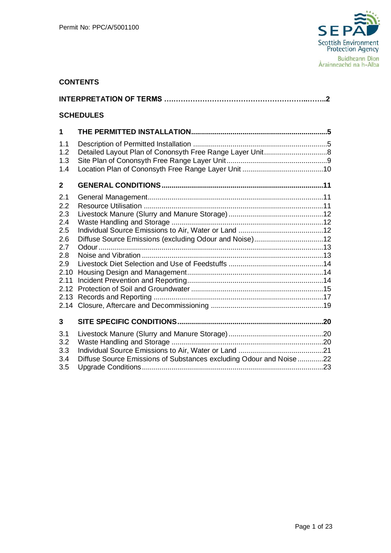

# **CONTENTS**

|              | <b>SCHEDULES</b>                                                    |  |
|--------------|---------------------------------------------------------------------|--|
| 1            |                                                                     |  |
| 1.1          |                                                                     |  |
| 1.2          |                                                                     |  |
| 1.3          |                                                                     |  |
| 1.4          |                                                                     |  |
| $\mathbf{2}$ |                                                                     |  |
| 2.1          |                                                                     |  |
| 2.2          |                                                                     |  |
| 2.3          |                                                                     |  |
| 2.4          |                                                                     |  |
| 2.5          |                                                                     |  |
| 2.6<br>2.7   |                                                                     |  |
| 2.8          |                                                                     |  |
| 2.9          |                                                                     |  |
| 2.10         |                                                                     |  |
| 2.11         |                                                                     |  |
|              |                                                                     |  |
| 2.13         |                                                                     |  |
| 2.14         |                                                                     |  |
| 3            |                                                                     |  |
| 3.1          |                                                                     |  |
| 3.2          |                                                                     |  |
| 3.3          |                                                                     |  |
| 3.4          | Diffuse Source Emissions of Substances excluding Odour and Noise 22 |  |
| 3.5          |                                                                     |  |
|              |                                                                     |  |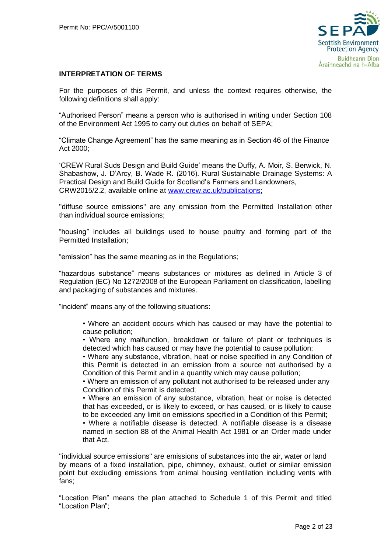

#### **INTERPRETATION OF TERMS**

For the purposes of this Permit, and unless the context requires otherwise, the following definitions shall apply:

"Authorised Person" means a person who is authorised in writing under Section 108 of the Environment Act 1995 to carry out duties on behalf of SEPA;

"Climate Change Agreement" has the same meaning as in Section 46 of the Finance Act 2000;

'CREW Rural Suds Design and Build Guide' means the Duffy, A. Moir, S. Berwick, N. Shabashow, J. D'Arcy, B. Wade R. (2016). Rural Sustainable Drainage Systems: A Practical Design and Build Guide for Scotland's Farmers and Landowners, CRW2015/2.2, available online at [www.crew.ac.uk/publications;](http://www.crew.ac.uk/publications)

"diffuse source emissions" are any emission from the Permitted Installation other than individual source emissions;

"housing" includes all buildings used to house poultry and forming part of the Permitted Installation;

"emission" has the same meaning as in the Regulations;

"hazardous substance" means substances or mixtures as defined in Article 3 of Regulation (EC) No 1272/2008 of the European Parliament on classification, labelling and packaging of substances and mixtures.

"incident" means any of the following situations:

• Where an accident occurs which has caused or may have the potential to cause pollution;

• Where any malfunction, breakdown or failure of plant or techniques is detected which has caused or may have the potential to cause pollution;

• Where any substance, vibration, heat or noise specified in any Condition of this Permit is detected in an emission from a source not authorised by a Condition of this Permit and in a quantity which may cause pollution;

• Where an emission of any pollutant not authorised to be released under any Condition of this Permit is detected;

• Where an emission of any substance, vibration, heat or noise is detected that has exceeded, or is likely to exceed, or has caused, or is likely to cause to be exceeded any limit on emissions specified in a Condition of this Permit;

• Where a notifiable disease is detected. A notifiable disease is a disease named in section 88 of the Animal Health Act 1981 or an Order made under that Act.

"individual source emissions" are emissions of substances into the air, water or land by means of a fixed installation, pipe, chimney, exhaust, outlet or similar emission point but excluding emissions from animal housing ventilation including vents with fans;

"Location Plan" means the plan attached to Schedule 1 of this Permit and titled "Location Plan";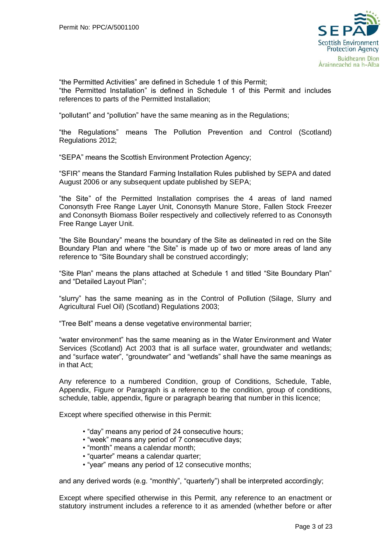

"the Permitted Activities" are defined in Schedule 1 of this Permit; "the Permitted Installation" is defined in Schedule 1 of this Permit and includes references to parts of the Permitted Installation;

"pollutant" and "pollution" have the same meaning as in the Regulations;

"the Regulations" means The Pollution Prevention and Control (Scotland) Regulations 2012;

"SEPA" means the Scottish Environment Protection Agency;

"SFIR" means the Standard Farming Installation Rules published by SEPA and dated August 2006 or any subsequent update published by SEPA;

"the Site" of the Permitted Installation comprises the 4 areas of land named Cononsyth Free Range Layer Unit, Cononsyth Manure Store, Fallen Stock Freezer and Cononsyth Biomass Boiler respectively and collectively referred to as Cononsyth Free Range Layer Unit.

"the Site Boundary" means the boundary of the Site as delineated in red on the Site Boundary Plan and where "the Site" is made up of two or more areas of land any reference to "Site Boundary shall be construed accordingly;

"Site Plan" means the plans attached at Schedule 1 and titled "Site Boundary Plan" and "Detailed Layout Plan";

"slurry" has the same meaning as in the Control of Pollution (Silage, Slurry and Agricultural Fuel Oil) (Scotland) Regulations 2003;

"Tree Belt" means a dense vegetative environmental barrier;

"water environment" has the same meaning as in the Water Environment and Water Services (Scotland) Act 2003 that is all surface water, groundwater and wetlands; and "surface water", "groundwater" and "wetlands" shall have the same meanings as in that Act;

Any reference to a numbered Condition, group of Conditions, Schedule, Table, Appendix, Figure or Paragraph is a reference to the condition, group of conditions, schedule, table, appendix, figure or paragraph bearing that number in this licence;

Except where specified otherwise in this Permit:

- "day" means any period of 24 consecutive hours;
- "week" means any period of 7 consecutive days;
- "month" means a calendar month;
- "quarter" means a calendar quarter;
- "year" means any period of 12 consecutive months;

and any derived words (e.g. "monthly", "quarterly") shall be interpreted accordingly;

Except where specified otherwise in this Permit, any reference to an enactment or statutory instrument includes a reference to it as amended (whether before or after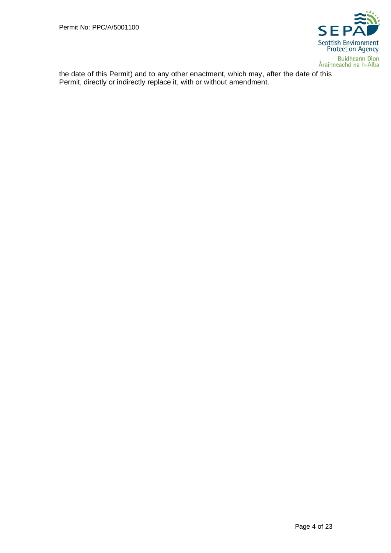

the date of this Permit) and to any other enactment, which may, after the date of this Permit, directly or indirectly replace it, with or without amendment.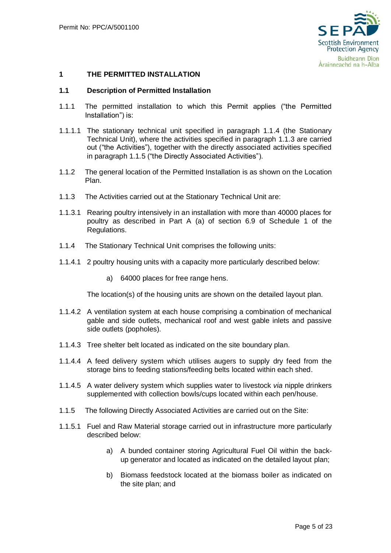

## <span id="page-5-0"></span>**1 THE PERMITTED INSTALLATION**

#### <span id="page-5-1"></span>**1.1 Description of Permitted Installation**

- 1.1.1 The permitted installation to which this Permit applies ("the Permitted Installation") is:
- 1.1.1.1 The stationary technical unit specified in paragraph 1.1.4 (the Stationary Technical Unit), where the activities specified in paragraph 1.1.3 are carried out ("the Activities"), together with the directly associated activities specified in paragraph 1.1.5 ("the Directly Associated Activities").
- 1.1.2 The general location of the Permitted Installation is as shown on the Location Plan.
- 1.1.3 The Activities carried out at the Stationary Technical Unit are:
- 1.1.3.1 Rearing poultry intensively in an installation with more than 40000 places for poultry as described in Part A (a) of section 6.9 of Schedule 1 of the Regulations.
- 1.1.4 The Stationary Technical Unit comprises the following units:
- 1.1.4.1 2 poultry housing units with a capacity more particularly described below:
	- a) 64000 places for free range hens.

The location(s) of the housing units are shown on the detailed layout plan.

- 1.1.4.2 A ventilation system at each house comprising a combination of mechanical gable and side outlets, mechanical roof and west gable inlets and passive side outlets (popholes).
- 1.1.4.3 Tree shelter belt located as indicated on the site boundary plan.
- 1.1.4.4 A feed delivery system which utilises augers to supply dry feed from the storage bins to feeding stations/feeding belts located within each shed.
- 1.1.4.5 A water delivery system which supplies water to livestock *via* nipple drinkers supplemented with collection bowls/cups located within each pen/house.
- 1.1.5 The following Directly Associated Activities are carried out on the Site:
- 1.1.5.1 Fuel and Raw Material storage carried out in infrastructure more particularly described below:
	- a) A bunded container storing Agricultural Fuel Oil within the backup generator and located as indicated on the detailed layout plan;
	- b) Biomass feedstock located at the biomass boiler as indicated on the site plan; and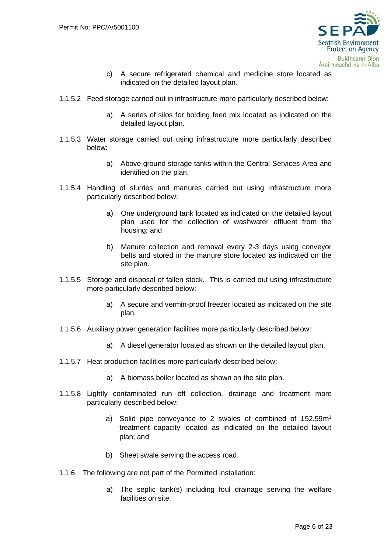

- c) A secure refrigerated chemical and medicine store located as indicated on the detailed layout plan*.*
- 1.1.5.2 Feed storage carried out in infrastructure more particularly described below:
	- a) A series of silos for holding feed mix located as indicated on the detailed layout plan.
- 1.1.5.3 Water storage carried out using infrastructure more particularly described below:
	- a) Above ground storage tanks within the Central Services Area and identified on the plan.
- 1.1.5.4 Handling of slurries and manures carried out using infrastructure more particularly described below:
	- a) One underground tank located as indicated on the detailed layout plan used for the collection of washwater effluent from the housing; and
	- b) Manure collection and removal every 2-3 days using conveyor belts and stored in the manure store located as indicated on the site plan.
- 1.1.5.5 Storage and disposal of fallen stock. This is carried out using infrastructure more particularly described below:
	- a) A secure and vermin-proof freezer located as indicated on the site plan.
- 1.1.5.6 Auxiliary power generation facilities more particularly described below:
	- a) A diesel generator located as shown on the detailed layout plan.
- 1.1.5.7 Heat production facilities more particularly described below:
	- a) A biomass boiler located as shown on the site plan.
- 1.1.5.8 Lightly contaminated run off collection, drainage and treatment more particularly described below:
	- a) Solid pipe conveyance to 2 swales of combined of 152.59m<sup>3</sup> treatment capacity located as indicated on the detailed layout plan; and
	- b) Sheet swale serving the access road.
- 1.1.6 The following are not part of the Permitted Installation:
	- a) The septic tank(s) including foul drainage serving the welfare facilities on site.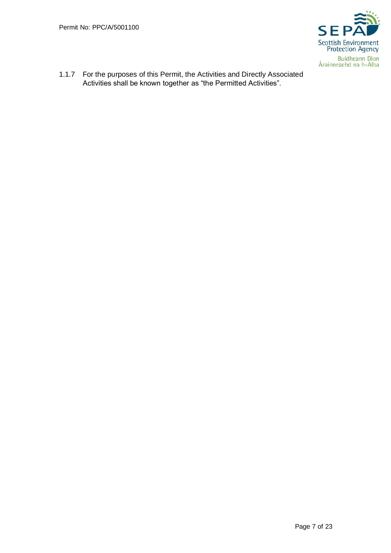

1.1.7 For the purposes of this Permit, the Activities and Directly Associated Activities shall be known together as "the Permitted Activities".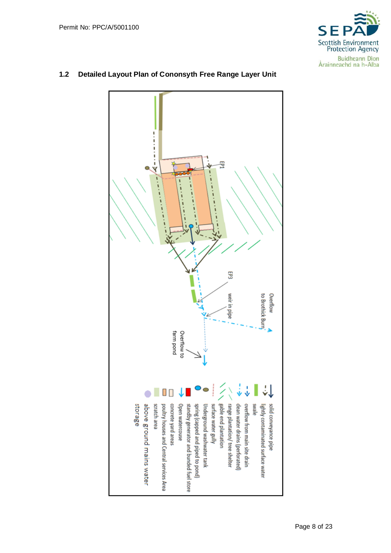

# ------------固 ī 593 to Brothick Burn Overflow weir in pipe farm pond Overflow to ÷J  $\Box$ O range plantation/ tree shelter allews storage above ground mains water concrete yard areas surface water gully gable end plantation clean water drains (perforated overflow from main site drain solid conveyance pipe scratch area poultry houses and Central services Area spring (capped and piped to pond) Underground washwater tank Open watercouse standby generator and bunded fuel store lightly contaminated surface water

# <span id="page-8-0"></span>**1.2 Detailed Layout Plan of Cononsyth Free Range Layer Unit**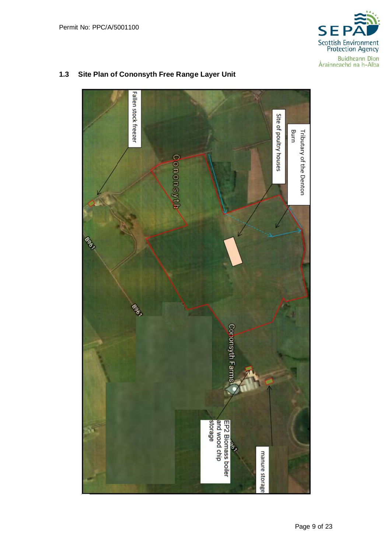



## <span id="page-9-0"></span>**1.3 Site Plan of Cononsyth Free Range Layer Unit**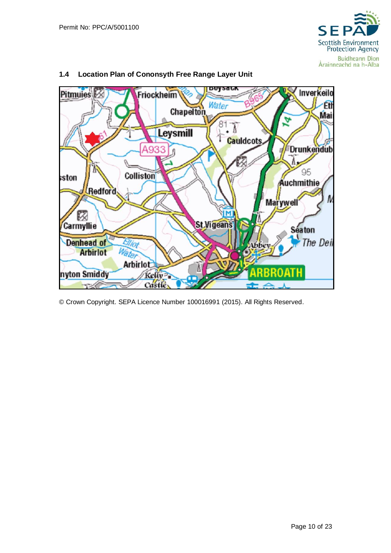



# <span id="page-10-0"></span>**1.4 Location Plan of Cononsyth Free Range Layer Unit**

© Crown Copyright. SEPA Licence Number 100016991 (2015). All Rights Reserved.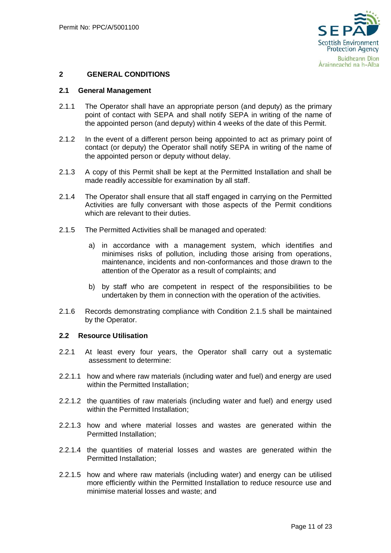

## <span id="page-11-0"></span>**2 GENERAL CONDITIONS**

#### <span id="page-11-1"></span>**2.1 General Management**

- 2.1.1 The Operator shall have an appropriate person (and deputy) as the primary point of contact with SEPA and shall notify SEPA in writing of the name of the appointed person (and deputy) within 4 weeks of the date of this Permit.
- 2.1.2 In the event of a different person being appointed to act as primary point of contact (or deputy) the Operator shall notify SEPA in writing of the name of the appointed person or deputy without delay.
- 2.1.3 A copy of this Permit shall be kept at the Permitted Installation and shall be made readily accessible for examination by all staff.
- 2.1.4 The Operator shall ensure that all staff engaged in carrying on the Permitted Activities are fully conversant with those aspects of the Permit conditions which are relevant to their duties.
- 2.1.5 The Permitted Activities shall be managed and operated:
	- a) in accordance with a management system, which identifies and minimises risks of pollution, including those arising from operations, maintenance, incidents and non-conformances and those drawn to the attention of the Operator as a result of complaints; and
	- b) by staff who are competent in respect of the responsibilities to be undertaken by them in connection with the operation of the activities.
- 2.1.6 Records demonstrating compliance with Condition 2.1.5 shall be maintained by the Operator.

#### <span id="page-11-2"></span>**2.2 Resource Utilisation**

- 2.2.1 At least every four years, the Operator shall carry out a systematic assessment to determine:
- 2.2.1.1 how and where raw materials (including water and fuel) and energy are used within the Permitted Installation:
- 2.2.1.2 the quantities of raw materials (including water and fuel) and energy used within the Permitted Installation;
- 2.2.1.3 how and where material losses and wastes are generated within the Permitted Installation;
- 2.2.1.4 the quantities of material losses and wastes are generated within the Permitted Installation;
- 2.2.1.5 how and where raw materials (including water) and energy can be utilised more efficiently within the Permitted Installation to reduce resource use and minimise material losses and waste; and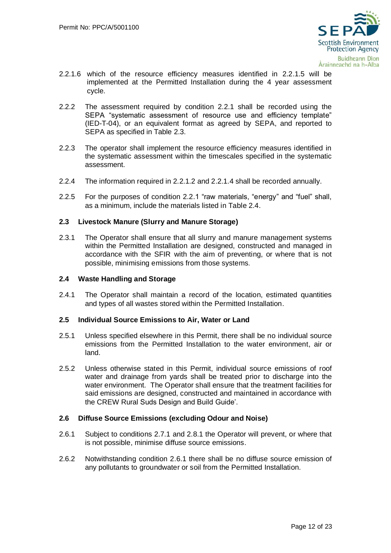

- 2.2.1.6 which of the resource efficiency measures identified in 2.2.1.5 will be implemented at the Permitted Installation during the 4 year assessment cycle.
- 2.2.2 The assessment required by condition 2.2.1 shall be recorded using the SEPA "systematic assessment of resource use and efficiency template" (IED-T-04), or an equivalent format as agreed by SEPA, and reported to SEPA as specified in Table 2.3.
- 2.2.3 The operator shall implement the resource efficiency measures identified in the systematic assessment within the timescales specified in the systematic assessment.
- 2.2.4 The information required in 2.2.1.2 and 2.2.1.4 shall be recorded annually.
- 2.2.5 For the purposes of condition 2.2.1 "raw materials, "energy" and "fuel" shall, as a minimum, include the materials listed in Table 2.4.

### <span id="page-12-0"></span>**2.3 Livestock Manure (Slurry and Manure Storage)**

2.3.1 The Operator shall ensure that all slurry and manure management systems within the Permitted Installation are designed, constructed and managed in accordance with the SFIR with the aim of preventing, or where that is not possible, minimising emissions from those systems.

#### <span id="page-12-1"></span>**2.4 Waste Handling and Storage**

2.4.1 The Operator shall maintain a record of the location, estimated quantities and types of all wastes stored within the Permitted Installation.

#### <span id="page-12-2"></span>**2.5 Individual Source Emissions to Air, Water or Land**

- 2.5.1 Unless specified elsewhere in this Permit, there shall be no individual source emissions from the Permitted Installation to the water environment, air or land.
- 2.5.2 Unless otherwise stated in this Permit, individual source emissions of roof water and drainage from yards shall be treated prior to discharge into the water environment. The Operator shall ensure that the treatment facilities for said emissions are designed, constructed and maintained in accordance with the CREW Rural Suds Design and Build Guide'.

#### <span id="page-12-3"></span>**2.6 Diffuse Source Emissions (excluding Odour and Noise)**

- 2.6.1 Subject to conditions 2.7.1 and 2.8.1 the Operator will prevent, or where that is not possible, minimise diffuse source emissions.
- 2.6.2 Notwithstanding condition 2.6.1 there shall be no diffuse source emission of any pollutants to groundwater or soil from the Permitted Installation.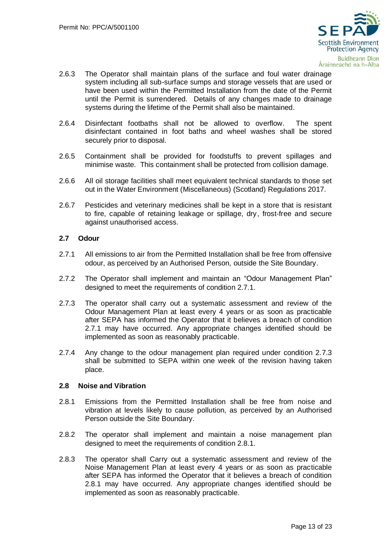

- 2.6.3 The Operator shall maintain plans of the surface and foul water drainage system including all sub-surface sumps and storage vessels that are used or have been used within the Permitted Installation from the date of the Permit until the Permit is surrendered. Details of any changes made to drainage systems during the lifetime of the Permit shall also be maintained.
- 2.6.4 Disinfectant footbaths shall not be allowed to overflow. The spent disinfectant contained in foot baths and wheel washes shall be stored securely prior to disposal.
- 2.6.5 Containment shall be provided for foodstuffs to prevent spillages and minimise waste. This containment shall be protected from collision damage.
- 2.6.6 All oil storage facilities shall meet equivalent technical standards to those set out in the Water Environment (Miscellaneous) (Scotland) Regulations 2017.
- 2.6.7 Pesticides and veterinary medicines shall be kept in a store that is resistant to fire, capable of retaining leakage or spillage, dry, frost-free and secure against unauthorised access.

### <span id="page-13-0"></span>**2.7 Odour**

- 2.7.1 All emissions to air from the Permitted Installation shall be free from offensive odour, as perceived by an Authorised Person, outside the Site Boundary.
- 2.7.2 The Operator shall implement and maintain an "Odour Management Plan" designed to meet the requirements of condition 2.7.1.
- 2.7.3 The operator shall carry out a systematic assessment and review of the Odour Management Plan at least every 4 years or as soon as practicable after SEPA has informed the Operator that it believes a breach of condition 2.7.1 may have occurred. Any appropriate changes identified should be implemented as soon as reasonably practicable.
- 2.7.4 Any change to the odour management plan required under condition 2.7.3 shall be submitted to SEPA within one week of the revision having taken place.

#### <span id="page-13-1"></span>**2.8 Noise and Vibration**

- 2.8.1 Emissions from the Permitted Installation shall be free from noise and vibration at levels likely to cause pollution, as perceived by an Authorised Person outside the Site Boundary.
- 2.8.2 The operator shall implement and maintain a noise management plan designed to meet the requirements of condition 2.8.1.
- 2.8.3 The operator shall Carry out a systematic assessment and review of the Noise Management Plan at least every 4 years or as soon as practicable after SEPA has informed the Operator that it believes a breach of condition 2.8.1 may have occurred. Any appropriate changes identified should be implemented as soon as reasonably practicable.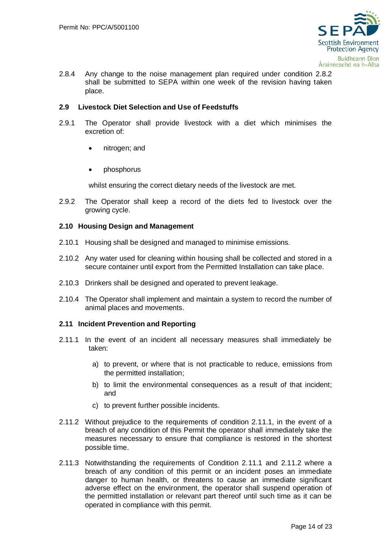

2.8.4 Any change to the noise management plan required under condition 2.8.2 shall be submitted to SEPA within one week of the revision having taken place.

## <span id="page-14-0"></span>**2.9 Livestock Diet Selection and Use of Feedstuffs**

- 2.9.1 The Operator shall provide livestock with a diet which minimises the excretion of:
	- nitrogen; and
	- phosphorus

whilst ensuring the correct dietary needs of the livestock are met.

2.9.2 The Operator shall keep a record of the diets fed to livestock over the growing cycle.

### <span id="page-14-1"></span>**2.10 Housing Design and Management**

- 2.10.1 Housing shall be designed and managed to minimise emissions.
- 2.10.2 Any water used for cleaning within housing shall be collected and stored in a secure container until export from the Permitted Installation can take place.
- 2.10.3 Drinkers shall be designed and operated to prevent leakage.
- 2.10.4 The Operator shall implement and maintain a system to record the number of animal places and movements.

#### <span id="page-14-2"></span>**2.11 Incident Prevention and Reporting**

- 2.11.1 In the event of an incident all necessary measures shall immediately be taken:
	- a) to prevent, or where that is not practicable to reduce, emissions from the permitted installation;
	- b) to limit the environmental consequences as a result of that incident; and
	- c) to prevent further possible incidents.
- 2.11.2 Without prejudice to the requirements of condition 2.11.1, in the event of a breach of any condition of this Permit the operator shall immediately take the measures necessary to ensure that compliance is restored in the shortest possible time.
- 2.11.3 Notwithstanding the requirements of Condition 2.11.1 and 2.11.2 where a breach of any condition of this permit or an incident poses an immediate danger to human health, or threatens to cause an immediate significant adverse effect on the environment, the operator shall suspend operation of the permitted installation or relevant part thereof until such time as it can be operated in compliance with this permit.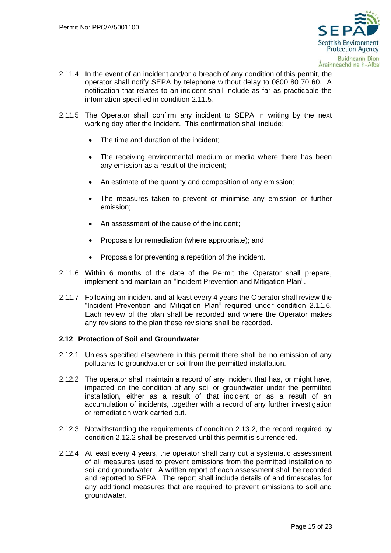

- 2.11.4 In the event of an incident and/or a breach of any condition of this permit, the operator shall notify SEPA by telephone without delay to 0800 80 70 60. A notification that relates to an incident shall include as far as practicable the information specified in condition 2.11.5.
- 2.11.5 The Operator shall confirm any incident to SEPA in writing by the next working day after the Incident. This confirmation shall include:
	- The time and duration of the incident;
	- The receiving environmental medium or media where there has been any emission as a result of the incident;
	- An estimate of the quantity and composition of any emission;
	- The measures taken to prevent or minimise any emission or further emission;
	- An assessment of the cause of the incident;
	- Proposals for remediation (where appropriate); and
	- Proposals for preventing a repetition of the incident.
- 2.11.6 Within 6 months of the date of the Permit the Operator shall prepare, implement and maintain an "Incident Prevention and Mitigation Plan".
- 2.11.7 Following an incident and at least every 4 years the Operator shall review the "Incident Prevention and Mitigation Plan" required under condition 2.11.6. Each review of the plan shall be recorded and where the Operator makes any revisions to the plan these revisions shall be recorded.

#### <span id="page-15-0"></span>**2.12 Protection of Soil and Groundwater**

- 2.12.1 Unless specified elsewhere in this permit there shall be no emission of any pollutants to groundwater or soil from the permitted installation.
- 2.12.2 The operator shall maintain a record of any incident that has, or might have, impacted on the condition of any soil or groundwater under the permitted installation, either as a result of that incident or as a result of an accumulation of incidents, together with a record of any further investigation or remediation work carried out.
- 2.12.3 Notwithstanding the requirements of condition 2.13.2, the record required by condition 2.12.2 shall be preserved until this permit is surrendered.
- 2.12.4 At least every 4 years, the operator shall carry out a systematic assessment of all measures used to prevent emissions from the permitted installation to soil and groundwater. A written report of each assessment shall be recorded and reported to SEPA. The report shall include details of and timescales for any additional measures that are required to prevent emissions to soil and groundwater.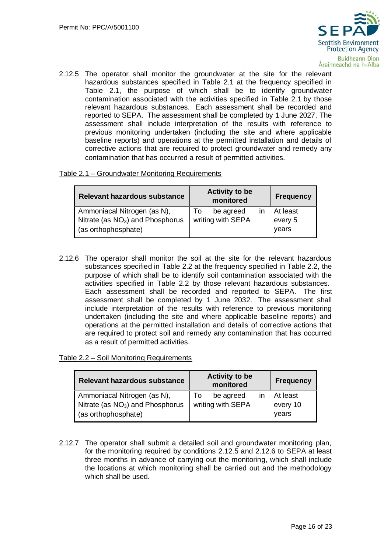

2.12.5 The operator shall monitor the groundwater at the site for the relevant hazardous substances specified in Table 2.1 at the frequency specified in Table 2.1, the purpose of which shall be to identify groundwater contamination associated with the activities specified in Table 2.1 by those relevant hazardous substances. Each assessment shall be recorded and reported to SEPA. The assessment shall be completed by 1 June 2027. The assessment shall include interpretation of the results with reference to previous monitoring undertaken (including the site and where applicable baseline reports) and operations at the permitted installation and details of corrective actions that are required to protect groundwater and remedy any contamination that has occurred a result of permitted activities.

### Table 2.1 – Groundwater Monitoring Requirements

| Relevant hazardous substance       | <b>Activity to be</b><br>monitored | <b>Frequency</b> |
|------------------------------------|------------------------------------|------------------|
| Ammoniacal Nitrogen (as N),        | be agreed                          | At least         |
| Nitrate (as $NO3$ ) and Phosphorus | To                                 | every 5          |
| $\vert$ (as orthophosphate)        | writing with SEPA                  | vears            |

2.12.6 The operator shall monitor the soil at the site for the relevant hazardous substances specified in Table 2.2 at the frequency specified in Table 2.2, the purpose of which shall be to identify soil contamination associated with the activities specified in Table 2.2 by those relevant hazardous substances. Each assessment shall be recorded and reported to SEPA. The first assessment shall be completed by 1 June 2032. The assessment shall include interpretation of the results with reference to previous monitoring undertaken (including the site and where applicable baseline reports) and operations at the permitted installation and details of corrective actions that are required to protect soil and remedy any contamination that has occurred as a result of permitted activities.

#### Table 2.2 – Soil Monitoring Requirements

| Relevant hazardous substance                                                             | <b>Activity to be</b><br>monitored         | <b>Frequency</b>              |
|------------------------------------------------------------------------------------------|--------------------------------------------|-------------------------------|
| Ammoniacal Nitrogen (as N),<br>Nitrate (as $NO3$ ) and Phosphorus<br>(as orthophosphate) | be agreed<br>10<br>ın<br>writing with SEPA | At least<br>every 10<br>vears |

2.12.7 The operator shall submit a detailed soil and groundwater monitoring plan, for the monitoring required by conditions 2.12.5 and 2.12.6 to SEPA at least three months in advance of carrying out the monitoring, which shall include the locations at which monitoring shall be carried out and the methodology which shall be used.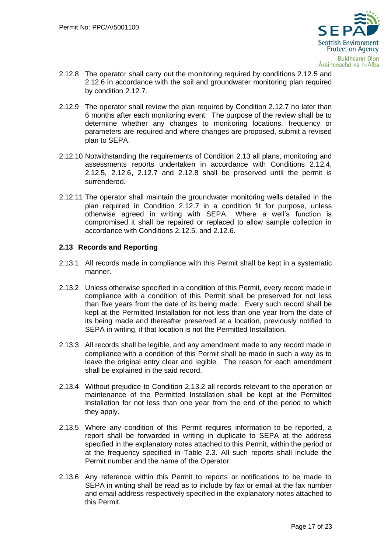

- 2.12.8 The operator shall carry out the monitoring required by conditions 2.12.5 and 2.12.6 in accordance with the soil and groundwater monitoring plan required by condition 2.12.7.
- 2.12.9 The operator shall review the plan required by Condition 2.12.7 no later than 6 months after each monitoring event. The purpose of the review shall be to determine whether any changes to monitoring locations, frequency or parameters are required and where changes are proposed, submit a revised plan to SEPA.
- 2.12.10 Notwithstanding the requirements of Condition 2.13 all plans, monitoring and assessments reports undertaken in accordance with Conditions 2.12.4, 2.12.5, 2.12.6, 2.12.7 and 2.12.8 shall be preserved until the permit is surrendered.
- 2.12.11 The operator shall maintain the groundwater monitoring wells detailed in the plan required in Condition 2.12.7 in a condition fit for purpose, unless otherwise agreed in writing with SEPA. Where a well's function is compromised it shall be repaired or replaced to allow sample collection in accordance with Conditions 2.12.5. and 2.12.6.

## <span id="page-17-0"></span>**2.13 Records and Reporting**

- 2.13.1 All records made in compliance with this Permit shall be kept in a systematic manner.
- 2.13.2 Unless otherwise specified in a condition of this Permit, every record made in compliance with a condition of this Permit shall be preserved for not less than five years from the date of its being made. Every such record shall be kept at the Permitted Installation for not less than one year from the date of its being made and thereafter preserved at a location, previously notified to SEPA in writing, if that location is not the Permitted Installation.
- 2.13.3 All records shall be legible, and any amendment made to any record made in compliance with a condition of this Permit shall be made in such a way as to leave the original entry clear and legible. The reason for each amendment shall be explained in the said record.
- 2.13.4 Without prejudice to Condition 2.13.2 all records relevant to the operation or maintenance of the Permitted Installation shall be kept at the Permitted Installation for not less than one year from the end of the period to which they apply.
- 2.13.5 Where any condition of this Permit requires information to be reported, a report shall be forwarded in writing in duplicate to SEPA at the address specified in the explanatory notes attached to this Permit, within the period or at the frequency specified in Table 2.3. All such reports shall include the Permit number and the name of the Operator.
- 2.13.6 Any reference within this Permit to reports or notifications to be made to SEPA in writing shall be read as to include by fax or email at the fax number and email address respectively specified in the explanatory notes attached to this Permit.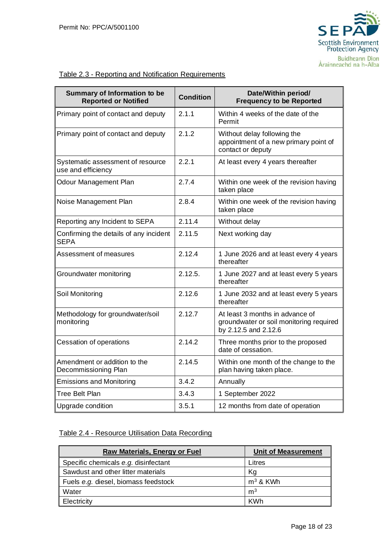

# Table 2.3 - Reporting and Notification Requirements

| Summary of Information to be<br><b>Reported or Notified</b> | <b>Condition</b> | Date/Within period/<br><b>Frequency to be Reported</b>                                             |  |  |
|-------------------------------------------------------------|------------------|----------------------------------------------------------------------------------------------------|--|--|
| Primary point of contact and deputy                         | 2.1.1            | Within 4 weeks of the date of the<br>Permit                                                        |  |  |
| Primary point of contact and deputy                         | 2.1.2            | Without delay following the<br>appointment of a new primary point of<br>contact or deputy          |  |  |
| Systematic assessment of resource<br>use and efficiency     | 2.2.1            | At least every 4 years thereafter                                                                  |  |  |
| Odour Management Plan                                       | 2.7.4            | Within one week of the revision having<br>taken place                                              |  |  |
| Noise Management Plan                                       | 2.8.4            | Within one week of the revision having<br>taken place                                              |  |  |
| Reporting any Incident to SEPA                              | 2.11.4           | Without delay                                                                                      |  |  |
| Confirming the details of any incident<br><b>SEPA</b>       | 2.11.5           | Next working day                                                                                   |  |  |
| Assessment of measures                                      | 2.12.4           | 1 June 2026 and at least every 4 years<br>thereafter                                               |  |  |
| Groundwater monitoring                                      | 2.12.5.          | 1 June 2027 and at least every 5 years<br>thereafter                                               |  |  |
| Soil Monitoring                                             | 2.12.6           | 1 June 2032 and at least every 5 years<br>thereafter                                               |  |  |
| Methodology for groundwater/soil<br>monitoring              | 2.12.7           | At least 3 months in advance of<br>groundwater or soil monitoring required<br>by 2.12.5 and 2.12.6 |  |  |
| Cessation of operations                                     | 2.14.2           | Three months prior to the proposed<br>date of cessation.                                           |  |  |
| Amendment or addition to the<br>Decommissioning Plan        | 2.14.5           | Within one month of the change to the<br>plan having taken place.                                  |  |  |
| <b>Emissions and Monitoring</b>                             | 3.4.2            | Annually                                                                                           |  |  |
| <b>Tree Belt Plan</b>                                       | 3.4.3            | 1 September 2022                                                                                   |  |  |
| Upgrade condition                                           | 3.5.1            | 12 months from date of operation                                                                   |  |  |

## Table 2.4 - Resource Utilisation Data Recording

| Raw Materials, Energy or Fuel        | <b>Unit of Measurement</b> |
|--------------------------------------|----------------------------|
| Specific chemicals e.g. disinfectant | Litres                     |
| Sawdust and other litter materials   | Kg                         |
| Fuels e.g. diesel, biomass feedstock | $m3$ & KWh                 |
| <b>Water</b>                         | m <sup>3</sup>             |
| Electricity                          | <b>KWh</b>                 |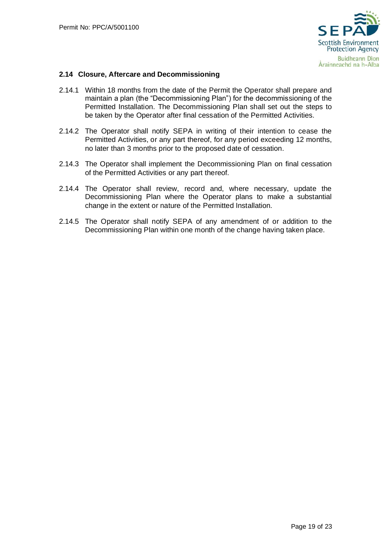

## <span id="page-19-0"></span>**2.14 Closure, Aftercare and Decommissioning**

- 2.14.1 Within 18 months from the date of the Permit the Operator shall prepare and maintain a plan (the "Decommissioning Plan") for the decommissioning of the Permitted Installation. The Decommissioning Plan shall set out the steps to be taken by the Operator after final cessation of the Permitted Activities.
- 2.14.2 The Operator shall notify SEPA in writing of their intention to cease the Permitted Activities, or any part thereof, for any period exceeding 12 months, no later than 3 months prior to the proposed date of cessation.
- 2.14.3 The Operator shall implement the Decommissioning Plan on final cessation of the Permitted Activities or any part thereof.
- 2.14.4 The Operator shall review, record and, where necessary, update the Decommissioning Plan where the Operator plans to make a substantial change in the extent or nature of the Permitted Installation.
- 2.14.5 The Operator shall notify SEPA of any amendment of or addition to the Decommissioning Plan within one month of the change having taken place.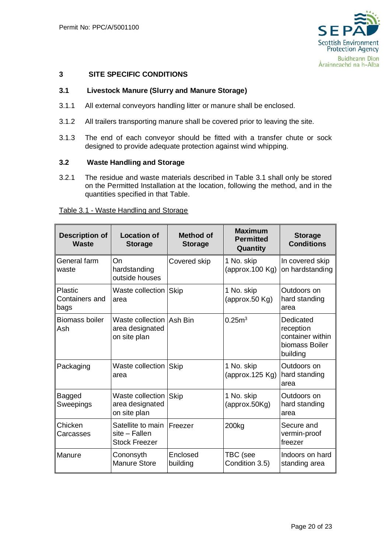

## <span id="page-20-0"></span>**3 SITE SPECIFIC CONDITIONS**

## <span id="page-20-1"></span>**3.1 Livestock Manure (Slurry and Manure Storage)**

- 3.1.1 All external conveyors handling litter or manure shall be enclosed.
- 3.1.2 All trailers transporting manure shall be covered prior to leaving the site.
- 3.1.3 The end of each conveyor should be fitted with a transfer chute or sock designed to provide adequate protection against wind whipping.

## <span id="page-20-2"></span>**3.2 Waste Handling and Storage**

3.2.1 The residue and waste materials described in Table 3.1 shall only be stored on the Permitted Installation at the location, following the method, and in the quantities specified in that Table.

| <b>Description of</b><br><b>Waste</b>    | <b>Location of</b><br><b>Storage</b>                          | Method of<br><b>Storage</b> | <b>Maximum</b><br><b>Permitted</b><br>Quantity | <b>Storage</b><br><b>Conditions</b>                                      |
|------------------------------------------|---------------------------------------------------------------|-----------------------------|------------------------------------------------|--------------------------------------------------------------------------|
| General farm<br>waste                    | On<br>hardstanding<br>outside houses                          | Covered skip                | 1 No. skip<br>(approx.100 Kg)                  | In covered skip<br>on hardstanding                                       |
| <b>Plastic</b><br>Containers and<br>bags | Waste collection Skip<br>area                                 |                             | 1 No. skip<br>(approx.50 Kg)                   | Outdoors on<br>hard standing<br>area                                     |
| <b>Biomass boiler</b><br>Ash             | Waste collection   Ash Bin<br>area designated<br>on site plan |                             | 0.25 <sup>3</sup>                              | Dedicated<br>reception<br>container within<br>biomass Boiler<br>building |
| Packaging                                | Waste collection Skip<br>area                                 |                             | 1 No. skip<br>(approx.125 $Kg$ )               | Outdoors on<br>hard standing<br>area                                     |
| Bagged<br>Sweepings                      | Waste collection<br>area designated<br>on site plan           | Skip                        | 1 No. skip<br>(approx.50Kg)                    | Outdoors on<br>hard standing<br>area                                     |
| Chicken<br>Carcasses                     | Satellite to main<br>$site$ – Fallen<br><b>Stock Freezer</b>  | Freezer                     | 200kg                                          | Secure and<br>vermin-proof<br>freezer                                    |
| Manure                                   | Cononsyth<br><b>Manure Store</b>                              | Enclosed<br>building        | TBC (see<br>Condition 3.5)                     | Indoors on hard<br>standing area                                         |

#### Table 3.1 - Waste Handling and Storage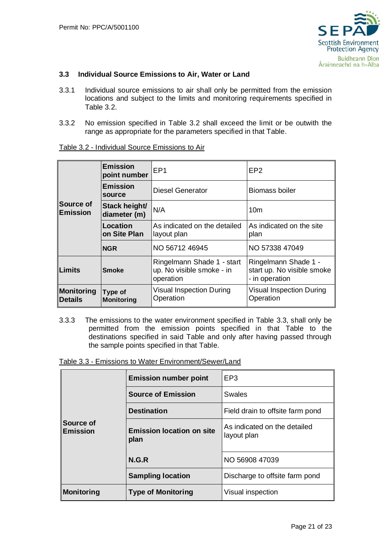

## <span id="page-21-0"></span>**3.3 Individual Source Emissions to Air, Water or Land**

- 3.3.1 Individual source emissions to air shall only be permitted from the emission locations and subject to the limits and monitoring requirements specified in Table 3.2.
- 3.3.2 No emission specified in Table 3.2 shall exceed the limit or be outwith the range as appropriate for the parameters specified in that Table.

Table 3.2 - Individual Source Emissions to Air

|                                     | <b>Emission</b><br>point number | EP <sub>1</sub>                                                      | EP <sub>2</sub>                                                      |
|-------------------------------------|---------------------------------|----------------------------------------------------------------------|----------------------------------------------------------------------|
|                                     | <b>Emission</b><br>source       | Diesel Generator                                                     | Biomass boiler                                                       |
| <b>Source of</b><br><b>Emission</b> | Stack height/<br>diameter (m)   | N/A                                                                  | 10 <sub>m</sub>                                                      |
|                                     | <b>Location</b><br>on Site Plan | As indicated on the detailed<br>layout plan                          | As indicated on the site<br>plan                                     |
|                                     | <b>NGR</b>                      | NO 56712 46945                                                       | NO 57338 47049                                                       |
| ∥Limits<br><b>Smoke</b>             |                                 | Ringelmann Shade 1 - start<br>up. No visible smoke - in<br>operation | Ringelmann Shade 1 -<br>start up. No visible smoke<br>- in operation |
| Monitoring<br><b>Details</b>        | Type of<br><b>Monitoring</b>    | <b>Visual Inspection During</b><br>Operation                         | <b>Visual Inspection During</b><br>Operation                         |

3.3.3 The emissions to the water environment specified in Table 3.3, shall only be permitted from the emission points specified in that Table to the destinations specified in said Table and only after having passed through the sample points specified in that Table.

Table 3.3 - Emissions to Water Environment/Sewer/Land

| Source of<br>Emission | <b>Emission number point</b>             | EP <sub>3</sub>                             |  |
|-----------------------|------------------------------------------|---------------------------------------------|--|
|                       | <b>Source of Emission</b>                | <b>Swales</b>                               |  |
|                       | <b>Destination</b>                       | Field drain to offsite farm pond            |  |
|                       | <b>Emission location on site</b><br>plan | As indicated on the detailed<br>layout plan |  |
|                       | N.G.R                                    | NO 56908 47039                              |  |
|                       | <b>Sampling location</b>                 | Discharge to offsite farm pond              |  |
| Monitoring            | <b>Type of Monitoring</b>                | Visual inspection                           |  |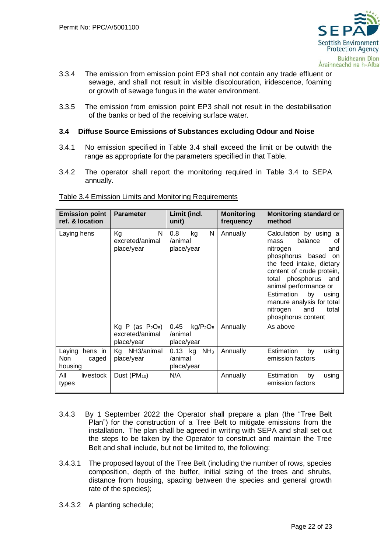

- 3.3.4 The emission from emission point EP3 shall not contain any trade effluent or sewage, and shall not result in visible discolouration, iridescence, foaming or growth of sewage fungus in the water environment.
- 3.3.5 The emission from emission point EP3 shall not result in the destabilisation of the banks or bed of the receiving surface water.

## <span id="page-22-0"></span>**3.4 Diffuse Source Emissions of Substances excluding Odour and Noise**

- 3.4.1 No emission specified in Table 3.4 shall exceed the limit or be outwith the range as appropriate for the parameters specified in that Table.
- 3.4.2 The operator shall report the monitoring required in Table 3.4 to SEPA annually.

| <b>Emission point</b><br>ref. & location     | <b>Parameter</b>                                     | Limit (incl.<br>unit)                                             | <b>Monitoring</b><br>frequency | <b>Monitoring standard or</b><br>method                                                                                                                                                                                                                                                                                      |
|----------------------------------------------|------------------------------------------------------|-------------------------------------------------------------------|--------------------------------|------------------------------------------------------------------------------------------------------------------------------------------------------------------------------------------------------------------------------------------------------------------------------------------------------------------------------|
| Laying hens                                  | N<br>Kg<br>excreted/animal<br>place/year             | 0.8<br>N<br>kg<br>/animal<br>place/year                           | Annually                       | Calculation by using a<br>balance<br>οf<br>mass<br>nitrogen<br>and<br>phosphorus based<br><b>on</b><br>the feed intake, dietary<br>content of crude protein,<br>total phosphorus<br>and<br>animal performance or<br>Estimation<br>by<br>using<br>manure analysis for total<br>nitrogen<br>total<br>and<br>phosphorus content |
|                                              | Kg P (as $P_2O_5$ )<br>excreted/animal<br>place/year | 0.45<br>kg/P <sub>2</sub> O <sub>5</sub><br>/animal<br>place/year | Annually                       | As above                                                                                                                                                                                                                                                                                                                     |
| Laying<br>hens in<br>Non<br>caged<br>housing | Kg NH3/animal<br>place/year                          | $0.13$ kg<br>NH <sub>3</sub><br>/animal<br>place/year             | Annually                       | Estimation<br>by<br>using<br>emission factors                                                                                                                                                                                                                                                                                |
| All<br>livestock<br>types                    | Dust (PM <sub>10</sub> )                             | N/A                                                               | Annually                       | Estimation<br>by<br>using<br>emission factors                                                                                                                                                                                                                                                                                |

#### Table 3.4 Emission Limits and Monitoring Requirements

- 3.4.3 By 1 September 2022 the Operator shall prepare a plan (the "Tree Belt Plan") for the construction of a Tree Belt to mitigate emissions from the installation. The plan shall be agreed in writing with SEPA and shall set out the steps to be taken by the Operator to construct and maintain the Tree Belt and shall include, but not be limited to, the following:
- 3.4.3.1 The proposed layout of the Tree Belt (including the number of rows, species composition, depth of the buffer, initial sizing of the trees and shrubs, distance from housing, spacing between the species and general growth rate of the species);
- 3.4.3.2 A planting schedule;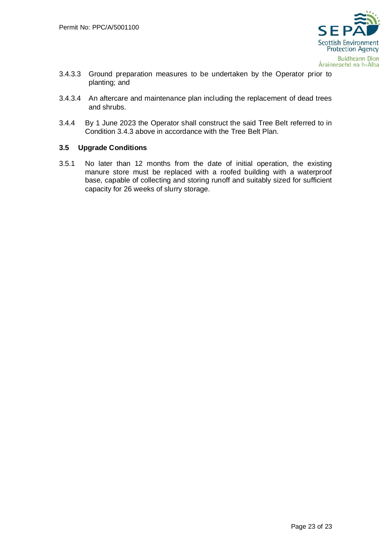

- 3.4.3.3 Ground preparation measures to be undertaken by the Operator prior to planting; and
- 3.4.3.4 An aftercare and maintenance plan including the replacement of dead trees and shrubs.
- 3.4.4 By 1 June 2023 the Operator shall construct the said Tree Belt referred to in Condition 3.4.3 above in accordance with the Tree Belt Plan.

### <span id="page-23-0"></span>**3.5 Upgrade Conditions**

3.5.1 No later than 12 months from the date of initial operation, the existing manure store must be replaced with a roofed building with a waterproof base, capable of collecting and storing runoff and suitably sized for sufficient capacity for 26 weeks of slurry storage.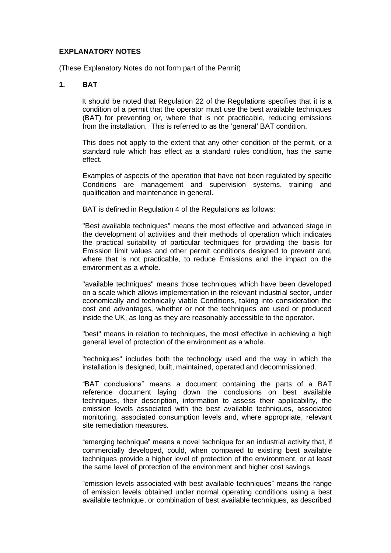## **EXPLANATORY NOTES**

(These Explanatory Notes do not form part of the Permit)

## **1. BAT**

It should be noted that Regulation 22 of the Regulations specifies that it is a condition of a permit that the operator must use the best available techniques (BAT) for preventing or, where that is not practicable, reducing emissions from the installation. This is referred to as the 'general' BAT condition.

This does not apply to the extent that any other condition of the permit, or a standard rule which has effect as a standard rules condition, has the same effect.

Examples of aspects of the operation that have not been regulated by specific Conditions are management and supervision systems, training and qualification and maintenance in general.

BAT is defined in Regulation 4 of the Regulations as follows:

"Best available techniques" means the most effective and advanced stage in the development of activities and their methods of operation which indicates the practical suitability of particular techniques for providing the basis for Emission limit values and other permit conditions designed to prevent and, where that is not practicable, to reduce Emissions and the impact on the environment as a whole.

"available techniques" means those techniques which have been developed on a scale which allows implementation in the relevant industrial sector, under economically and technically viable Conditions, taking into consideration the cost and advantages, whether or not the techniques are used or produced inside the UK, as long as they are reasonably accessible to the operator.

"best" means in relation to techniques, the most effective in achieving a high general level of protection of the environment as a whole.

"techniques" includes both the technology used and the way in which the installation is designed, built, maintained, operated and decommissioned.

"BAT conclusions" means a document containing the parts of a BAT reference document laying down the conclusions on best available techniques, their description, information to assess their applicability, the emission levels associated with the best available techniques, associated monitoring, associated consumption levels and, where appropriate, relevant site remediation measures.

"emerging technique" means a novel technique for an industrial activity that, if commercially developed, could, when compared to existing best available techniques provide a higher level of protection of the environment, or at least the same level of protection of the environment and higher cost savings.

"emission levels associated with best available techniques" means the range of emission levels obtained under normal operating conditions using a best available technique, or combination of best available techniques, as described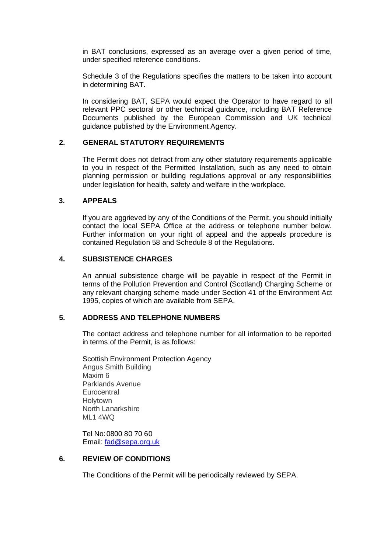in BAT conclusions, expressed as an average over a given period of time, under specified reference conditions.

Schedule 3 of the Regulations specifies the matters to be taken into account in determining BAT.

In considering BAT, SEPA would expect the Operator to have regard to all relevant PPC sectoral or other technical guidance, including BAT Reference Documents published by the European Commission and UK technical guidance published by the Environment Agency.

## **2. GENERAL STATUTORY REQUIREMENTS**

The Permit does not detract from any other statutory requirements applicable to you in respect of the Permitted Installation, such as any need to obtain planning permission or building regulations approval or any responsibilities under legislation for health, safety and welfare in the workplace.

### **3. APPEALS**

If you are aggrieved by any of the Conditions of the Permit, you should initially contact the local SEPA Office at the address or telephone number below. Further information on your right of appeal and the appeals procedure is contained Regulation 58 and Schedule 8 of the Regulations.

### **4. SUBSISTENCE CHARGES**

An annual subsistence charge will be payable in respect of the Permit in terms of the Pollution Prevention and Control (Scotland) Charging Scheme or any relevant charging scheme made under Section 41 of the Environment Act 1995, copies of which are available from SEPA.

#### **5. ADDRESS AND TELEPHONE NUMBERS**

The contact address and telephone number for all information to be reported in terms of the Permit, is as follows:

Scottish Environment Protection Agency Angus Smith Building Maxim 6 Parklands Avenue **Eurocentral Holytown** North Lanarkshire ML1 4WQ

Tel No:0800 80 70 60 Email: [fad@sepa.org.uk](mailto:fad@sepa.org.uk)

## **6. REVIEW OF CONDITIONS**

The Conditions of the Permit will be periodically reviewed by SEPA.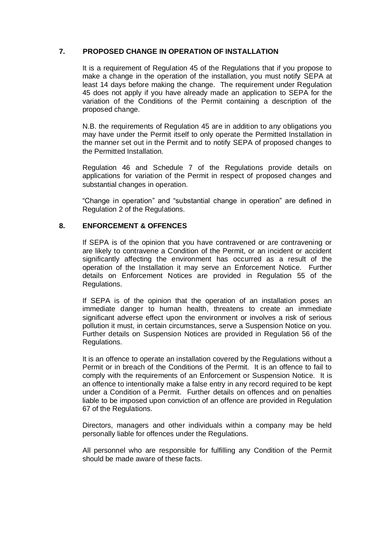## **7. PROPOSED CHANGE IN OPERATION OF INSTALLATION**

It is a requirement of Regulation 45 of the Regulations that if you propose to make a change in the operation of the installation, you must notify SEPA at least 14 days before making the change. The requirement under Regulation 45 does not apply if you have already made an application to SEPA for the variation of the Conditions of the Permit containing a description of the proposed change.

N.B. the requirements of Regulation 45 are in addition to any obligations you may have under the Permit itself to only operate the Permitted Installation in the manner set out in the Permit and to notify SEPA of proposed changes to the Permitted Installation.

Regulation 46 and Schedule 7 of the Regulations provide details on applications for variation of the Permit in respect of proposed changes and substantial changes in operation.

"Change in operation" and "substantial change in operation" are defined in Regulation 2 of the Regulations.

## **8. ENFORCEMENT & OFFENCES**

If SEPA is of the opinion that you have contravened or are contravening or are likely to contravene a Condition of the Permit, or an incident or accident significantly affecting the environment has occurred as a result of the operation of the Installation it may serve an Enforcement Notice. Further details on Enforcement Notices are provided in Regulation 55 of the Regulations.

If SEPA is of the opinion that the operation of an installation poses an immediate danger to human health, threatens to create an immediate significant adverse effect upon the environment or involves a risk of serious pollution it must, in certain circumstances, serve a Suspension Notice on you. Further details on Suspension Notices are provided in Regulation 56 of the Regulations.

It is an offence to operate an installation covered by the Regulations without a Permit or in breach of the Conditions of the Permit. It is an offence to fail to comply with the requirements of an Enforcement or Suspension Notice. It is an offence to intentionally make a false entry in any record required to be kept under a Condition of a Permit. Further details on offences and on penalties liable to be imposed upon conviction of an offence are provided in Regulation 67 of the Regulations.

Directors, managers and other individuals within a company may be held personally liable for offences under the Regulations.

All personnel who are responsible for fulfilling any Condition of the Permit should be made aware of these facts.